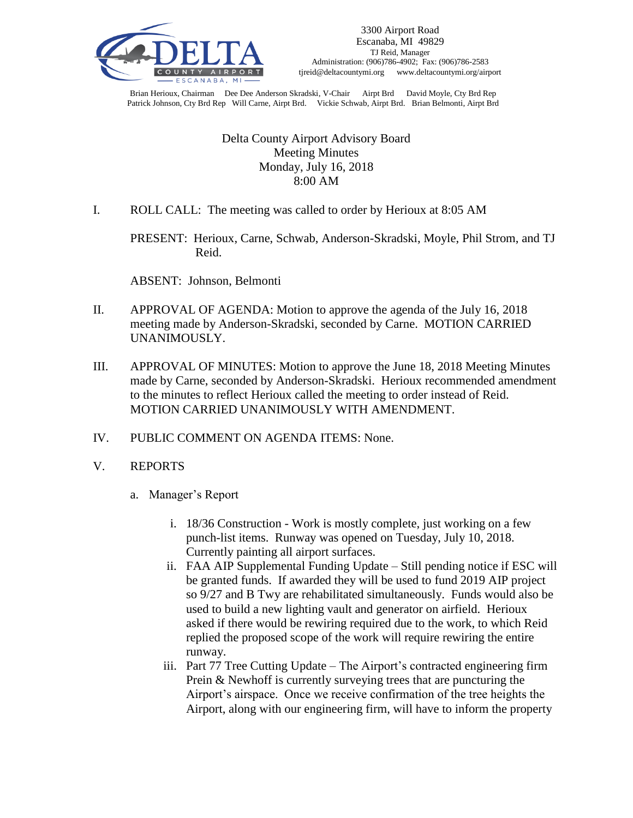

Brian Herioux, Chairman Dee Dee Anderson Skradski, V-Chair Airpt Brd David Moyle, Cty Brd Rep Patrick Johnson, Cty Brd Rep Will Carne, Airpt Brd. Vickie Schwab, Airpt Brd. Brian Belmonti, Airpt Brd

### Delta County Airport Advisory Board Meeting Minutes Monday, July 16, 2018 8:00 AM

I. ROLL CALL: The meeting was called to order by Herioux at 8:05 AM

PRESENT: Herioux, Carne, Schwab, Anderson-Skradski, Moyle, Phil Strom, and TJ Reid.

ABSENT: Johnson, Belmonti

- II. APPROVAL OF AGENDA: Motion to approve the agenda of the July 16, 2018 meeting made by Anderson-Skradski, seconded by Carne. MOTION CARRIED UNANIMOUSLY.
- III. APPROVAL OF MINUTES: Motion to approve the June 18, 2018 Meeting Minutes made by Carne, seconded by Anderson-Skradski. Herioux recommended amendment to the minutes to reflect Herioux called the meeting to order instead of Reid. MOTION CARRIED UNANIMOUSLY WITH AMENDMENT.
- IV. PUBLIC COMMENT ON AGENDA ITEMS: None.
- V. REPORTS
	- a. Manager's Report
		- i. 18/36 Construction Work is mostly complete, just working on a few punch-list items. Runway was opened on Tuesday, July 10, 2018. Currently painting all airport surfaces.
		- ii. FAA AIP Supplemental Funding Update Still pending notice if ESC will be granted funds. If awarded they will be used to fund 2019 AIP project so 9/27 and B Twy are rehabilitated simultaneously. Funds would also be used to build a new lighting vault and generator on airfield. Herioux asked if there would be rewiring required due to the work, to which Reid replied the proposed scope of the work will require rewiring the entire runway.
		- iii. Part 77 Tree Cutting Update The Airport's contracted engineering firm Prein & Newhoff is currently surveying trees that are puncturing the Airport's airspace. Once we receive confirmation of the tree heights the Airport, along with our engineering firm, will have to inform the property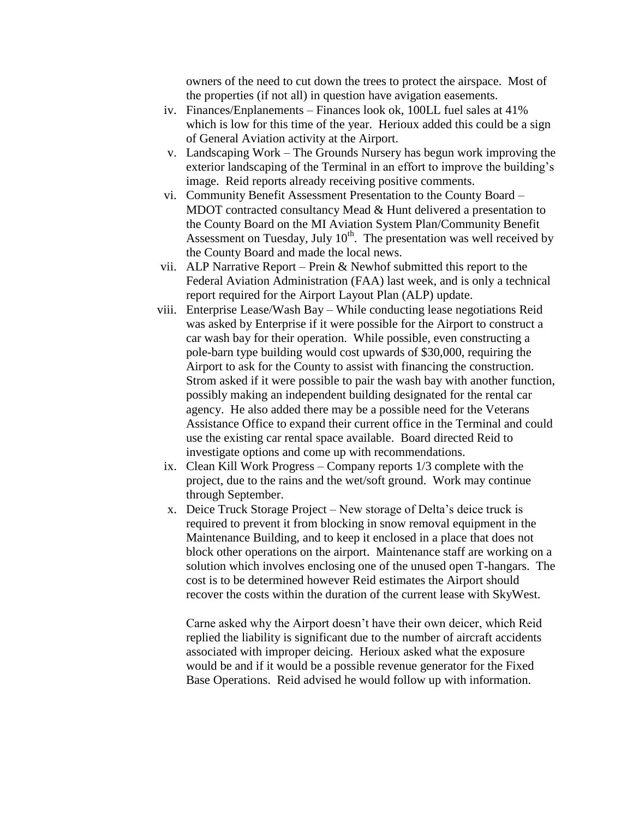owners of the need to cut down the trees to protect the airspace. Most of the properties (if not all) in question have avigation easements.

- iv. Finances/Enplanements Finances look ok, 100LL fuel sales at 41% which is low for this time of the year. Herioux added this could be a sign of General Aviation activity at the Airport.
- v. Landscaping Work The Grounds Nursery has begun work improving the exterior landscaping of the Terminal in an effort to improve the building's image. Reid reports already receiving positive comments.
- vi. Community Benefit Assessment Presentation to the County Board MDOT contracted consultancy Mead & Hunt delivered a presentation to the County Board on the MI Aviation System Plan/Community Benefit Assessment on Tuesday, July  $10<sup>th</sup>$ . The presentation was well received by the County Board and made the local news.
- vii. ALP Narrative Report Prein & Newhof submitted this report to the Federal Aviation Administration (FAA) last week, and is only a technical report required for the Airport Layout Plan (ALP) update.
- viii. Enterprise Lease/Wash Bay While conducting lease negotiations Reid was asked by Enterprise if it were possible for the Airport to construct a car wash bay for their operation. While possible, even constructing a pole-barn type building would cost upwards of \$30,000, requiring the Airport to ask for the County to assist with financing the construction. Strom asked if it were possible to pair the wash bay with another function, possibly making an independent building designated for the rental car agency. He also added there may be a possible need for the Veterans Assistance Office to expand their current office in the Terminal and could use the existing car rental space available. Board directed Reid to investigate options and come up with recommendations.
	- ix. Clean Kill Work Progress Company reports 1/3 complete with the project, due to the rains and the wet/soft ground. Work may continue through September.
	- x. Deice Truck Storage Project New storage of Delta's deice truck is required to prevent it from blocking in snow removal equipment in the Maintenance Building, and to keep it enclosed in a place that does not block other operations on the airport. Maintenance staff are working on a solution which involves enclosing one of the unused open T-hangars. The cost is to be determined however Reid estimates the Airport should recover the costs within the duration of the current lease with SkyWest.

Carne asked why the Airport doesn't have their own deicer, which Reid replied the liability is significant due to the number of aircraft accidents associated with improper deicing. Herioux asked what the exposure would be and if it would be a possible revenue generator for the Fixed Base Operations. Reid advised he would follow up with information.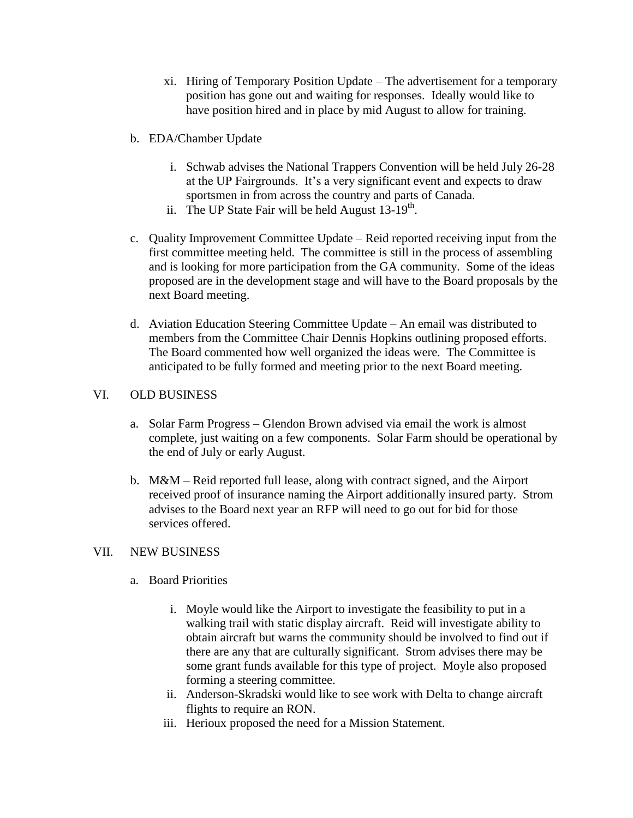- xi. Hiring of Temporary Position Update The advertisement for a temporary position has gone out and waiting for responses. Ideally would like to have position hired and in place by mid August to allow for training.
- b. EDA/Chamber Update
	- i. Schwab advises the National Trappers Convention will be held July 26-28 at the UP Fairgrounds. It's a very significant event and expects to draw sportsmen in from across the country and parts of Canada.
	- ii. The UP State Fair will be held August  $13-19^{th}$ .
- c. Quality Improvement Committee Update Reid reported receiving input from the first committee meeting held. The committee is still in the process of assembling and is looking for more participation from the GA community. Some of the ideas proposed are in the development stage and will have to the Board proposals by the next Board meeting.
- d. Aviation Education Steering Committee Update An email was distributed to members from the Committee Chair Dennis Hopkins outlining proposed efforts. The Board commented how well organized the ideas were. The Committee is anticipated to be fully formed and meeting prior to the next Board meeting.

### VI. OLD BUSINESS

- a. Solar Farm Progress Glendon Brown advised via email the work is almost complete, just waiting on a few components. Solar Farm should be operational by the end of July or early August.
- b. M&M Reid reported full lease, along with contract signed, and the Airport received proof of insurance naming the Airport additionally insured party. Strom advises to the Board next year an RFP will need to go out for bid for those services offered.

## VII. NEW BUSINESS

- a. Board Priorities
	- i. Moyle would like the Airport to investigate the feasibility to put in a walking trail with static display aircraft. Reid will investigate ability to obtain aircraft but warns the community should be involved to find out if there are any that are culturally significant. Strom advises there may be some grant funds available for this type of project. Moyle also proposed forming a steering committee.
	- ii. Anderson-Skradski would like to see work with Delta to change aircraft flights to require an RON.
	- iii. Herioux proposed the need for a Mission Statement.